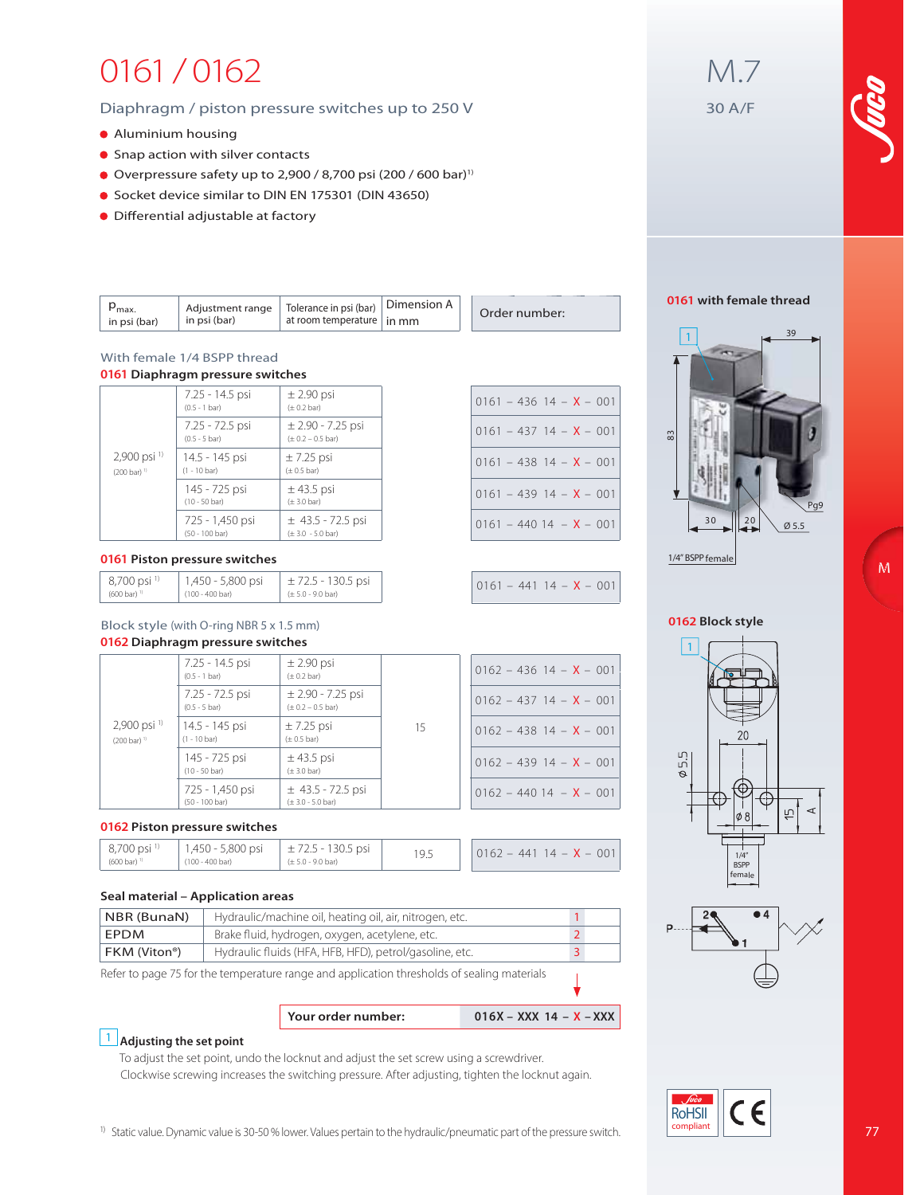# 0161 / 0162

### Diaphragm / piston pressure switches up to 250 V

- Aluminium housing
- Snap action with silver contacts
- Overpressure safety up to 2,900 / 8,700 psi  $(200 / 600 \text{ bar})^1$
- Socket device similar to DIN EN 175301 (DIN 43650)
- $\bullet$  Differential adjustable at factory

| $\sim$ max.<br>in psi (bar) | Adiustment range<br>in psi (bar) | Tolerance in psi (bar)<br>at room temperature   in mm | Dimension A |  | Order number: |  | )16ነ |
|-----------------------------|----------------------------------|-------------------------------------------------------|-------------|--|---------------|--|------|
|-----------------------------|----------------------------------|-------------------------------------------------------|-------------|--|---------------|--|------|

#### With female 1/4 BSPP thread **0161 Diaphragm pressure switches**

|                              | 7.25 - 14.5 psi<br>$(0.5 - 1 bar)$         | $\pm$ 2.90 psi<br>$(\pm 0.2 \text{ bar})$            |
|------------------------------|--------------------------------------------|------------------------------------------------------|
|                              | 7.25 - 72.5 psi<br>$(0.5 - 5 \text{ bar})$ | $± 2.90 - 7.25$ psi<br>$(\pm 0.2 - 0.5$ bar)         |
| 2,900 psi 1)<br>(200 bar) 1) | 14.5 - 145 psi<br>$(1 - 10 \text{ bar})$   | $\pm$ 7.25 psi<br>$(\pm 0.5$ bar)                    |
|                              | 145 - 725 psi<br>$(10 - 50 \text{ bar})$   | $\pm$ 43.5 psi<br>$(\pm 3.0 \text{ bar})$            |
|                              | 725 - 1,450 psi<br>(50 - 100 bar)          | $±$ 43.5 - 72.5 psi<br>$(\pm 3.0 - 5.0 \text{ bar})$ |

#### **0161 Piston pressure switches**

| 8,700 psi <sup>1)</sup>           | 1,450 - 5,800 psi | $\pm$ 72.5 - 130.5 psi |
|-----------------------------------|-------------------|------------------------|
| $(600 \text{ bar})$ <sup>11</sup> | (100 - 400 bar)   | (± 5.0 - 9.0 bar)      |

### Block style (with O-ring NBR 5 x 1.5 mm) **0162 Diaphragm pressure switches**

|                                                     | 7.25 - 14.5 psi<br>$(0.5 - 1 bar)$         | $\pm$ 2.90 psi<br>$(\pm 0.2 \text{ bar})$              |    | $0162 - 436$ 14 - <b>X</b> - 001 |
|-----------------------------------------------------|--------------------------------------------|--------------------------------------------------------|----|----------------------------------|
|                                                     | 7.25 - 72.5 psi<br>$(0.5 - 5 \text{ bar})$ | $\pm$ 2.90 - 7.25 psi<br>$(\pm 0.2 - 0.5$ bar)         |    | $0162 - 437$ 14 - <b>X</b> - 001 |
| $2,900$ psi <sup>1</sup><br>$(200 \text{ bar})^{1}$ | 14.5 - 145 psi<br>$(1 - 10 \text{ bar})$   | $\pm$ 7.25 psi<br>$(\pm 0.5$ bar)                      | 15 | $0162 - 43814 - X - 001$         |
|                                                     | 145 - 725 psi<br>$(10 - 50 \text{ bar})$   | $\pm$ 43.5 psi<br>$(\pm 3.0 \text{ bar})$              |    | $0162 - 43914 - X - 001$         |
|                                                     | 725 - 1,450 psi<br>$(50 - 100$ bar)        | $\pm$ 43.5 - 72.5 psi<br>$(\pm 3.0 - 5.0 \text{ bar})$ |    | $0162 - 44014 - X - 001$         |

### **0162 Piston pressure switches**

| 1,450 - 5,800 psi<br>8,700 psi <sup>1)</sup><br>$\pm$ 72.5 - 130.5 psi<br>(100 - 400 bar)<br>(600 bar) <sup>1</sup><br>$(\pm 5.0 - 9.0 \text{ bar})$ | 19.5 | $-441$ 14 - <b>X</b> - 001<br>0162 |
|------------------------------------------------------------------------------------------------------------------------------------------------------|------|------------------------------------|
|------------------------------------------------------------------------------------------------------------------------------------------------------|------|------------------------------------|

#### **Seal material – Application areas**

1 **Adjusting the set point** 

| NBR (BunaN)  | Hydraulic/machine oil, heating oil, air, nitrogen, etc. |  |
|--------------|---------------------------------------------------------|--|
| <b>EPDM</b>  | Brake fluid, hydrogen, oxygen, acetylene, etc.          |  |
| FKM (Viton®) | Hydraulic fluids (HFA, HFB, HFD), petrol/gasoline, etc. |  |

**Your order number: 016X – XXX 14 – X – XXX** 

Refer to page 75 for the temperature range and application thresholds of sealing materials

To adjust the set point, undo the locknut and adjust the set screw using a screwdriver. Clockwise screwing increases the switching pressure. After adjusting, tighten the locknut again.

## $0161 - 436$  14 – **X** – 001  $0161 - 437$  14 – **X** – 001  $0161 - 438$  14 –  $X - 001$  $0161 - 439$  14 –  $X - 001$  $0161 - 44014 - X - 001$

 $0161 - 441$  14 - **X** - 001



M.7

30 A/F

### **0161 with female thread**



1/4" BSPP female

### **0162 Block style**





### **RoHSII** compliant

<sup>1)</sup> Static value. Dynamic value is 30-50 % lower. Values pertain to the hydraulic/pneumatic part of the pressure switch.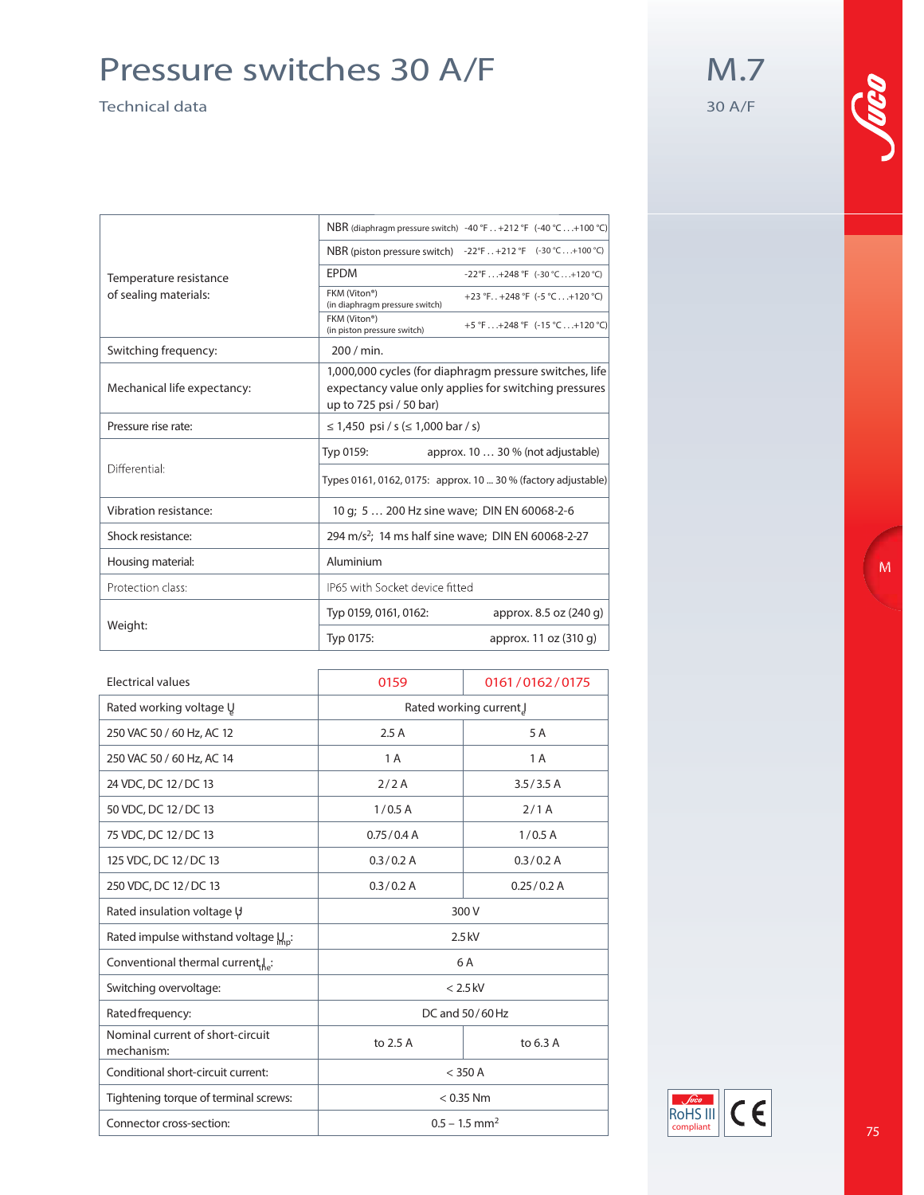### Pressure switches 30 A/F

Technical data

M.7 30 A/F

|                             |                                                | NBR (diaphragm pressure switch) -40 °F +212 °F (-40 °C+100 °C)                                                   |
|-----------------------------|------------------------------------------------|------------------------------------------------------------------------------------------------------------------|
|                             | NBR (piston pressure switch)                   | $-22^{\circ}$ F +212 °F (-30 °C+100 °C)                                                                          |
| Temperature resistance      | <b>EPDM</b>                                    | -22°F+248°F (-30°C+120°C)                                                                                        |
| of sealing materials:       | FKM (Viton®)<br>(in diaphragm pressure switch) | +23 °F +248 °F (-5 °C+120 °C)                                                                                    |
|                             | FKM (Viton®)<br>(in piston pressure switch)    | +5 °F+248 °F (-15 °C+120 °C)                                                                                     |
| Switching frequency:        | 200 / min.                                     |                                                                                                                  |
| Mechanical life expectancy: | up to 725 psi / 50 bar)                        | 1,000,000 cycles (for diaphragm pressure switches, life<br>expectancy value only applies for switching pressures |
| Pressure rise rate:         | ≤ 1,450 psi / s (≤ 1,000 bar / s)              |                                                                                                                  |
|                             | Typ 0159:                                      | approx. 10  30 % (not adjustable)                                                                                |
| Differential:               |                                                | Types 0161, 0162, 0175: approx. 10  30 % (factory adjustable)                                                    |
| Vibration resistance:       |                                                | 10 g; 5  200 Hz sine wave; DIN EN 60068-2-6                                                                      |
| Shock resistance:           |                                                | 294 m/s <sup>2</sup> ; 14 ms half sine wave; DIN EN 60068-2-27                                                   |
| Housing material:           | Aluminium                                      |                                                                                                                  |
| Protection class:           | IP65 with Socket device fitted                 |                                                                                                                  |
|                             | Typ 0159, 0161, 0162:                          | approx. 8.5 oz (240 g)                                                                                           |
| Weight:                     | Typ 0175:                                      | approx. 11 oz (310 g)                                                                                            |

| <b>Electrical values</b>                         | 0159                        | 0161/0162/0175 |
|--------------------------------------------------|-----------------------------|----------------|
| Rated working voltage U                          | Rated working current.      |                |
| 250 VAC 50 / 60 Hz, AC 12                        | 2.5A                        | 5 A            |
| 250 VAC 50 / 60 Hz, AC 14                        | 1 A                         | 1 A            |
| 24 VDC, DC 12/DC 13                              | 2/2A                        | 3.5/3.5A       |
| 50 VDC, DC 12/DC 13                              | 1/0.5A                      | 2/1A           |
| 75 VDC, DC 12/DC 13                              | 0.75/0.4 A                  | 1/0.5A         |
| 125 VDC, DC 12/DC 13                             | 0.3 / 0.2 A                 | 0.3 / 0.2 A    |
| 250 VDC, DC 12/DC 13                             | 0.3 / 0.2 A                 | 0.25/0.2 A     |
| Rated insulation voltage V                       | 300 V                       |                |
| Rated impulse withstand voltage $\mu_{\rm no}$ : | $2.5$ kV                    |                |
| Conventional thermal current le:                 | 6 A                         |                |
| Switching overvoltage:                           | $< 2.5$ kV                  |                |
| Rated frequency:                                 | DC and 50/60 Hz             |                |
| Nominal current of short-circuit<br>mechanism:   | to 2.5 A                    | to 6.3 A       |
| Conditional short-circuit current:               | $<$ 350 A                   |                |
| Tightening torque of terminal screws:            | $< 0.35$ Nm                 |                |
| Connector cross-section:                         | $0.5 - 1.5$ mm <sup>2</sup> |                |

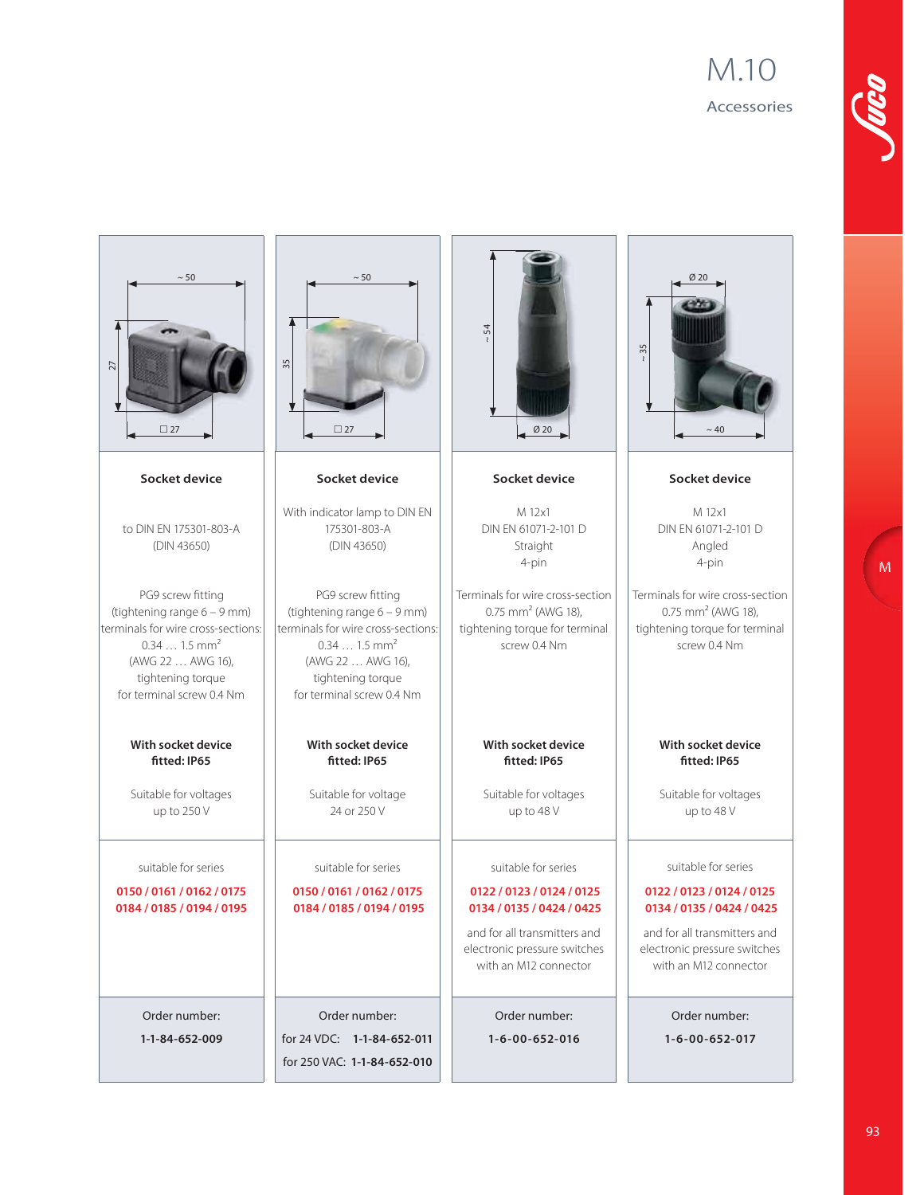### M.10 Accessories



**M**